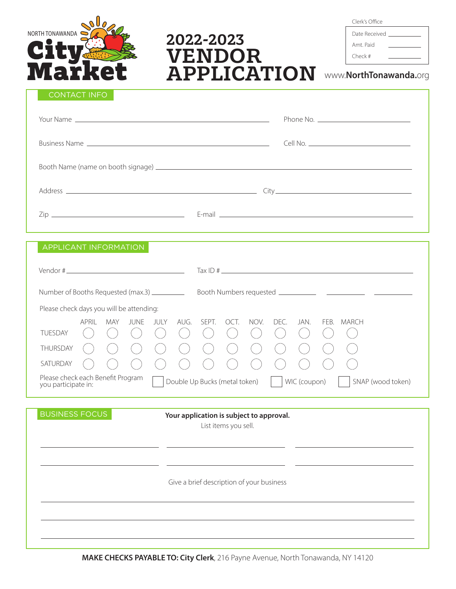

# 2022-2023 VENDOR APPLICATION

Clerk's Office

Date Received Amt. Paid Check #

www.**NorthTonawanda.**org

## CONTACT INFO

| APPLICANT INFORMATION                                                                                                                                                                  |                                        |
|----------------------------------------------------------------------------------------------------------------------------------------------------------------------------------------|----------------------------------------|
|                                                                                                                                                                                        |                                        |
|                                                                                                                                                                                        |                                        |
| Please check days you will be attending:                                                                                                                                               |                                        |
| <b>APRIL</b><br>AUG.<br>NOV.<br><b>JUNE</b><br>JULY<br>SEPT.<br>OCT.<br><b>MAY</b><br><b>TUESDAY</b><br>$\left($<br>$(\quad)$                                                          | DEC.<br>JAN.<br>FEB. MARCH<br>$\left($ |
| THURSDAY<br>$(\ )$                                                                                                                                                                     |                                        |
| SATURDAY                                                                                                                                                                               |                                        |
| Please check each Benefit Program<br>WIC (coupon)<br>SNAP (wood token)<br>Double Up Bucks (metal token)<br>you participate in:                                                         |                                        |
|                                                                                                                                                                                        |                                        |
| <b>BUSINESS FOCUS</b><br>Your application is subject to approval.<br>and the contract of the final service contract of the contract of the contract of the contract of the contract of |                                        |

List items you sell.

Give a brief description of your business